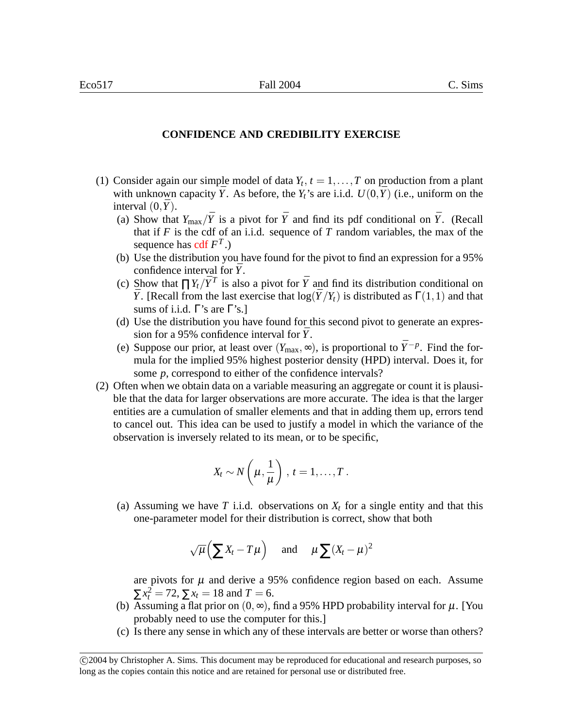## **CONFIDENCE AND CREDIBILITY EXERCISE**

- (1) Consider again our simple model of data  $Y_t$ ,  $t = 1, \ldots, T$  on production from a plant with unknown capacity  $\bar{Y}$ . As before, the  $Y_t$ 's are i.i.d.  $U(0,\bar{Y})$  (i.e., uniform on the interval  $(0, \bar{Y})$ .
	- (a) Show that  $Y_{\text{max}}/\bar{Y}$  is a pivot for  $\bar{Y}$  and find its pdf conditional on  $\bar{Y}$ . (Recall that if  $F$  is the cdf of an i.i.d. sequence of  $T$  random variables, the max of the sequence has cdf *F T* .)
	- (b) Use the distribution you have found for the pivot to find an expression for a 95% confidence interval for  $\bar{Y}$ .
	- (c) Show that  $\prod Y_t/\bar{Y}^T$  is also a pivot for  $\bar{Y}$  and find its distribution conditional on  $\bar{Y}$ . [Recall from the last exercise that  $\log(\bar{Y}/Y_t)$  is distributed as  $\Gamma(1,1)$  and that sums of i.i.d.  $\Gamma$ 's are  $\Gamma$ 's.]
	- (d) Use the distribution you have found for this second pivot to generate an expression for a 95% confidence interval for  $\bar{Y}$ .
	- (e) Suppose our prior, at least over  $(Y_{\text{max}}, \infty)$ , is proportional to  $\bar{Y}^{-p}$ . Find the formula for the implied 95% highest posterior density (HPD) interval. Does it, for some *p*, correspond to either of the confidence intervals?
- (2) Often when we obtain data on a variable measuring an aggregate or count it is plausible that the data for larger observations are more accurate. The idea is that the larger entities are a cumulation of smaller elements and that in adding them up, errors tend to cancel out. This idea can be used to justify a model in which the variance of the observation is inversely related to its mean, or to be specific,

$$
X_t \sim N\left(\mu, \frac{1}{\mu}\right), t = 1, \ldots, T.
$$

(a) Assuming we have *T* i.i.d. observations on  $X_t$  for a single entity and that this one-parameter model for their distribution is correct, show that both

$$
\sqrt{\mu}\left(\sum X_t - T\mu\right)
$$
 and  $\mu\sum (X_t - \mu)^2$ 

are pivots for  $\mu$  and derive a 95% confidence region based on each. Assume  $\sum x_t^2 = 72$ ,  $\sum x_t = 18$  and  $T = 6$ .

- (b) Assuming a flat prior on  $(0, \infty)$ , find a 95% HPD probability interval for  $\mu$ . [You probably need to use the computer for this.]
- (c) Is there any sense in which any of these intervals are better or worse than others?

c 2004 by Christopher A. Sims. This document may be reproduced for educational and research purposes, so long as the copies contain this notice and are retained for personal use or distributed free.